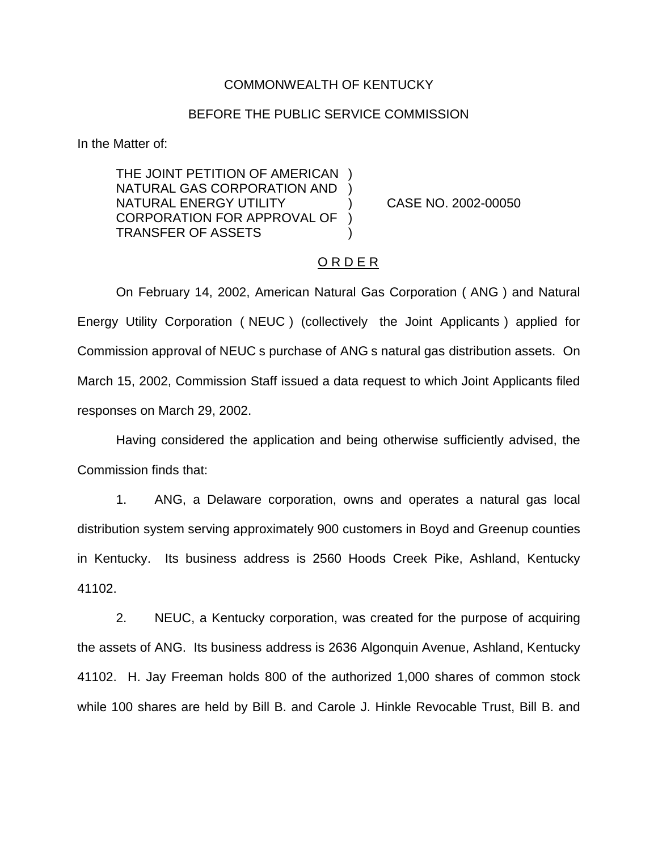## COMMONWEALTH OF KENTUCKY

## BEFORE THE PUBLIC SERVICE COMMISSION

In the Matter of:

THE JOINT PETITION OF AMERICAN ) NATURAL GAS CORPORATION AND ) NATURAL ENERGY UTILITY ) CASE NO. 2002-00050 CORPORATION FOR APPROVAL OF ) TRANSFER OF ASSETS )

## O R D E R

On February 14, 2002, American Natural Gas Corporation ( ANG ) and Natural Energy Utility Corporation ( NEUC ) (collectively the Joint Applicants ) applied for Commission approval of NEUC s purchase of ANG s natural gas distribution assets. On March 15, 2002, Commission Staff issued a data request to which Joint Applicants filed responses on March 29, 2002.

Having considered the application and being otherwise sufficiently advised, the Commission finds that:

1. ANG, a Delaware corporation, owns and operates a natural gas local distribution system serving approximately 900 customers in Boyd and Greenup counties in Kentucky. Its business address is 2560 Hoods Creek Pike, Ashland, Kentucky 41102.

2. NEUC, a Kentucky corporation, was created for the purpose of acquiring the assets of ANG. Its business address is 2636 Algonquin Avenue, Ashland, Kentucky 41102. H. Jay Freeman holds 800 of the authorized 1,000 shares of common stock while 100 shares are held by Bill B. and Carole J. Hinkle Revocable Trust, Bill B. and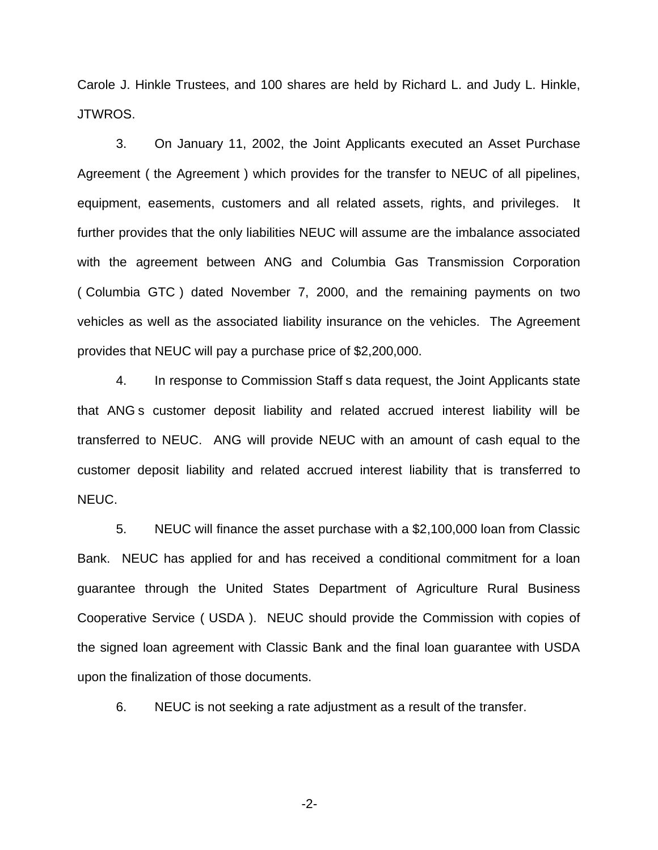Carole J. Hinkle Trustees, and 100 shares are held by Richard L. and Judy L. Hinkle, JTWROS.

3. On January 11, 2002, the Joint Applicants executed an Asset Purchase Agreement ( the Agreement ) which provides for the transfer to NEUC of all pipelines, equipment, easements, customers and all related assets, rights, and privileges. It further provides that the only liabilities NEUC will assume are the imbalance associated with the agreement between ANG and Columbia Gas Transmission Corporation ( Columbia GTC ) dated November 7, 2000, and the remaining payments on two vehicles as well as the associated liability insurance on the vehicles. The Agreement provides that NEUC will pay a purchase price of \$2,200,000.

4. In response to Commission Staff s data request, the Joint Applicants state that ANG s customer deposit liability and related accrued interest liability will be transferred to NEUC. ANG will provide NEUC with an amount of cash equal to the customer deposit liability and related accrued interest liability that is transferred to NEUC.

5. NEUC will finance the asset purchase with a \$2,100,000 loan from Classic Bank. NEUC has applied for and has received a conditional commitment for a loan guarantee through the United States Department of Agriculture Rural Business Cooperative Service ( USDA ). NEUC should provide the Commission with copies of the signed loan agreement with Classic Bank and the final loan guarantee with USDA upon the finalization of those documents.

6. NEUC is not seeking a rate adjustment as a result of the transfer.

-2-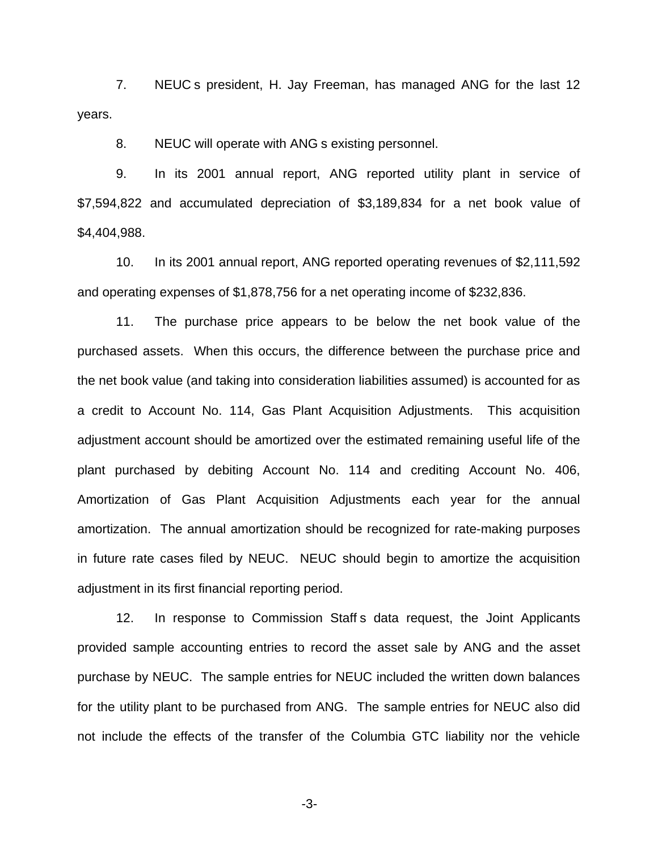7. NEUC s president, H. Jay Freeman, has managed ANG for the last 12 years.

8. NEUC will operate with ANG s existing personnel.

9. In its 2001 annual report, ANG reported utility plant in service of \$7,594,822 and accumulated depreciation of \$3,189,834 for a net book value of \$4,404,988.

10. In its 2001 annual report, ANG reported operating revenues of \$2,111,592 and operating expenses of \$1,878,756 for a net operating income of \$232,836.

11. The purchase price appears to be below the net book value of the purchased assets. When this occurs, the difference between the purchase price and the net book value (and taking into consideration liabilities assumed) is accounted for as a credit to Account No. 114, Gas Plant Acquisition Adjustments. This acquisition adjustment account should be amortized over the estimated remaining useful life of the plant purchased by debiting Account No. 114 and crediting Account No. 406, Amortization of Gas Plant Acquisition Adjustments each year for the annual amortization. The annual amortization should be recognized for rate-making purposes in future rate cases filed by NEUC. NEUC should begin to amortize the acquisition adjustment in its first financial reporting period.

12. In response to Commission Staff s data request, the Joint Applicants provided sample accounting entries to record the asset sale by ANG and the asset purchase by NEUC. The sample entries for NEUC included the written down balances for the utility plant to be purchased from ANG. The sample entries for NEUC also did not include the effects of the transfer of the Columbia GTC liability nor the vehicle

-3-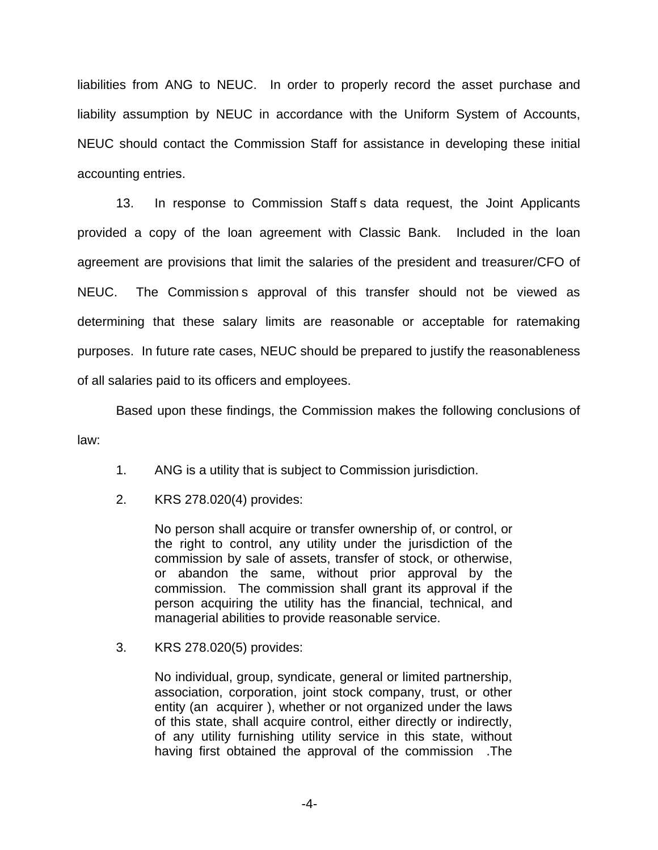liabilities from ANG to NEUC. In order to properly record the asset purchase and liability assumption by NEUC in accordance with the Uniform System of Accounts, NEUC should contact the Commission Staff for assistance in developing these initial accounting entries.

13. In response to Commission Staff s data request, the Joint Applicants provided a copy of the loan agreement with Classic Bank. Included in the loan agreement are provisions that limit the salaries of the president and treasurer/CFO of NEUC. The Commission s approval of this transfer should not be viewed as determining that these salary limits are reasonable or acceptable for ratemaking purposes. In future rate cases, NEUC should be prepared to justify the reasonableness of all salaries paid to its officers and employees.

Based upon these findings, the Commission makes the following conclusions of law:

- 1. ANG is a utility that is subject to Commission jurisdiction.
- 2. KRS 278.020(4) provides:

No person shall acquire or transfer ownership of, or control, or the right to control, any utility under the jurisdiction of the commission by sale of assets, transfer of stock, or otherwise, or abandon the same, without prior approval by the commission. The commission shall grant its approval if the person acquiring the utility has the financial, technical, and managerial abilities to provide reasonable service.

3. KRS 278.020(5) provides:

No individual, group, syndicate, general or limited partnership, association, corporation, joint stock company, trust, or other entity (an acquirer ), whether or not organized under the laws of this state, shall acquire control, either directly or indirectly, of any utility furnishing utility service in this state, without having first obtained the approval of the commission .The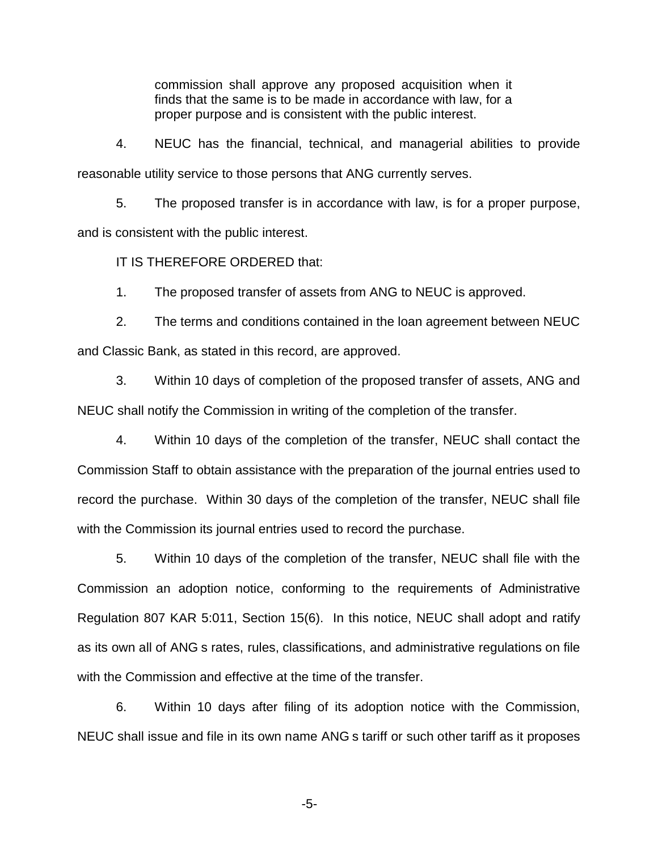commission shall approve any proposed acquisition when it finds that the same is to be made in accordance with law, for a proper purpose and is consistent with the public interest.

4. NEUC has the financial, technical, and managerial abilities to provide reasonable utility service to those persons that ANG currently serves.

5. The proposed transfer is in accordance with law, is for a proper purpose, and is consistent with the public interest.

IT IS THEREFORE ORDERED that:

1. The proposed transfer of assets from ANG to NEUC is approved.

2. The terms and conditions contained in the loan agreement between NEUC and Classic Bank, as stated in this record, are approved.

3. Within 10 days of completion of the proposed transfer of assets, ANG and NEUC shall notify the Commission in writing of the completion of the transfer.

4. Within 10 days of the completion of the transfer, NEUC shall contact the Commission Staff to obtain assistance with the preparation of the journal entries used to record the purchase. Within 30 days of the completion of the transfer, NEUC shall file with the Commission its journal entries used to record the purchase.

5. Within 10 days of the completion of the transfer, NEUC shall file with the Commission an adoption notice, conforming to the requirements of Administrative Regulation 807 KAR 5:011, Section 15(6). In this notice, NEUC shall adopt and ratify as its own all of ANG s rates, rules, classifications, and administrative regulations on file with the Commission and effective at the time of the transfer.

6. Within 10 days after filing of its adoption notice with the Commission, NEUC shall issue and file in its own name ANG s tariff or such other tariff as it proposes

-5-